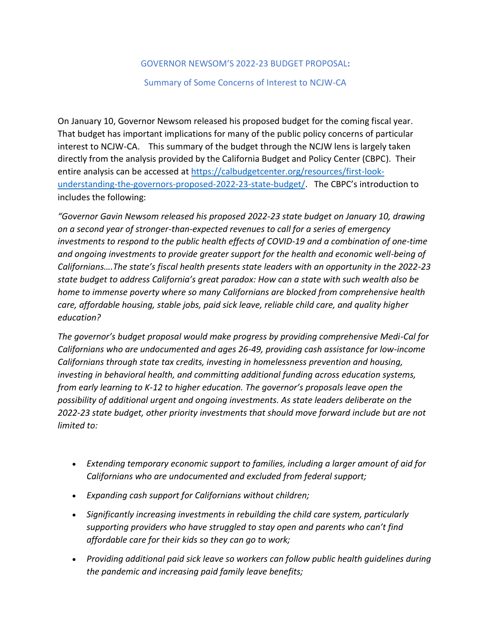#### GOVERNOR NEWSOM'S 2022-23 BUDGET PROPOSAL**:**

#### Summary of Some Concerns of Interest to NCJW-CA

On January 10, Governor Newsom released his proposed budget for the coming fiscal year. That budget has important implications for many of the public policy concerns of particular interest to NCJW-CA. This summary of the budget through the NCJW lens is largely taken directly from the analysis provided by the California Budget and Policy Center (CBPC). Their entire analysis can be accessed at [https://calbudgetcenter.org/resources/first-look](https://calbudgetcenter.org/resources/first-look-understanding-the-governors-proposed-2022-23-state-budget/)[understanding-the-governors-proposed-2022-23-state-budget/.](https://calbudgetcenter.org/resources/first-look-understanding-the-governors-proposed-2022-23-state-budget/) The CBPC's introduction to includes the following:

*"Governor Gavin Newsom released his proposed 2022-23 state budget on January 10, drawing on a second year of stronger-than-expected revenues to call for a series of emergency investments to respond to the public health effects of COVID-19 and a combination of one-time and ongoing investments to provide greater support for the health and economic well-being of Californians….The state's fiscal health presents state leaders with an opportunity in the 2022-23 state budget to address California's great paradox: How can a state with such wealth also be home to immense poverty where so many Californians are blocked from comprehensive health care, affordable housing, stable jobs, paid sick leave, reliable child care, and quality higher education?*

*The governor's budget proposal would make progress by providing comprehensive Medi-Cal for Californians who are undocumented and ages 26-49, providing cash assistance for low-income Californians through state tax credits, investing in homelessness prevention and housing, investing in behavioral health, and committing additional funding across education systems, from early learning to K-12 to higher education. The governor's proposals leave open the possibility of additional urgent and ongoing investments. As state leaders deliberate on the 2022-23 state budget, other priority investments that should move forward include but are not limited to:*

- *Extending temporary economic support to families, including a larger amount of aid for Californians who are undocumented and excluded from federal support;*
- *Expanding cash support for Californians without children;*
- *Significantly increasing investments in rebuilding the child care system, particularly supporting providers who have struggled to stay open and parents who can't find affordable care for their kids so they can go to work;*
- *Providing additional paid sick leave so workers can follow public health guidelines during the pandemic and increasing paid family leave benefits;*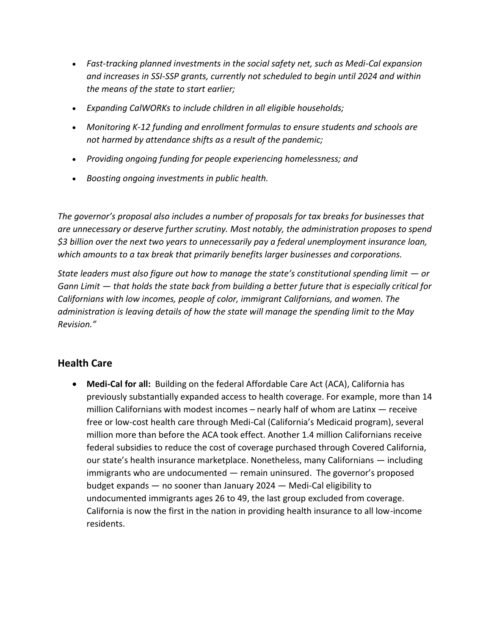- *Fast-tracking planned investments in the social safety net, such as Medi-Cal expansion and increases in SSI-SSP grants, currently not scheduled to begin until 2024 and within the means of the state to start earlier;*
- *Expanding CalWORKs to include children in all eligible households;*
- *Monitoring K-12 funding and enrollment formulas to ensure students and schools are not harmed by attendance shifts as a result of the pandemic;*
- *Providing ongoing funding for people experiencing homelessness; and*
- *Boosting ongoing investments in public health.*

*The governor's proposal also includes a number of proposals for tax breaks for businesses that are unnecessary or deserve further scrutiny. Most notably, the administration proposes to spend \$3 billion over the next two years to unnecessarily pay a federal unemployment insurance loan, which amounts to a tax break that primarily benefits larger businesses and corporations.*

*State leaders must also figure out how to manage the state's constitutional spending limit — or Gann Limit — that holds the state back from building a better future that is especially critical for Californians with low incomes, people of color, immigrant Californians, and women. The administration is leaving details of how the state will manage the spending limit to the May Revision."*

# **Health Care**

• **Medi-Cal for all:** Building on the federal Affordable Care Act (ACA), California has previously substantially expanded access to health coverage. For example, more than 14 million Californians with modest incomes – nearly half of whom are Latinx — receive free or low-cost health care through Medi-Cal (California's Medicaid program), several million more than before the ACA took effect. Another 1.4 million Californians receive federal subsidies to reduce the cost of coverage purchased through Covered California, our state's health insurance marketplace. Nonetheless, many Californians — including immigrants who are undocumented — remain uninsured. The governor's proposed budget expands — no sooner than January 2024 — Medi-Cal eligibility to undocumented immigrants ages 26 to 49, the last group excluded from coverage. California is now the first in the nation in providing health insurance to all low-income residents.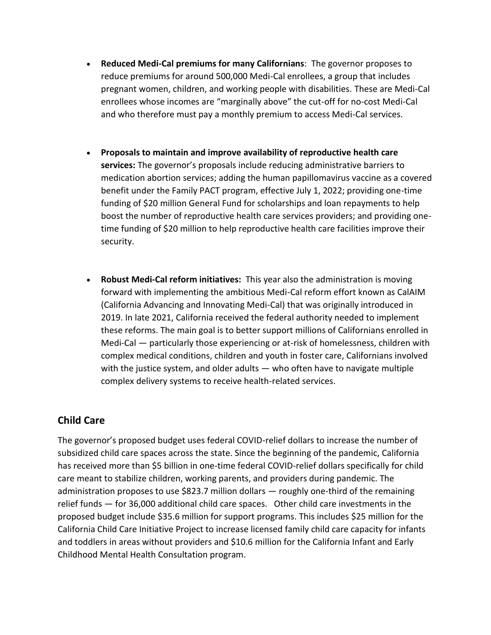- **Reduced Medi-Cal premiums for many Californians**: The governor proposes to reduce premiums for around 500,000 Medi-Cal enrollees, a group that includes pregnant women, children, and working people with disabilities. These are Medi-Cal enrollees whose incomes are "marginally above" the cut-off for no-cost Medi-Cal and who therefore must pay a monthly premium to access Medi-Cal services.
- **Proposals to maintain and improve availability of reproductive health care services:** The governor's proposals include reducing administrative barriers to medication abortion services; adding the human papillomavirus vaccine as a covered benefit under the Family PACT program, effective July 1, 2022; providing one-time funding of \$20 million General Fund for scholarships and loan repayments to help boost the number of reproductive health care services providers; and providing onetime funding of \$20 million to help reproductive health care facilities improve their security.
- **Robust Medi-Cal reform initiatives:** This year also the administration is moving forward with implementing the ambitious Medi-Cal reform effort known as CalAIM (California Advancing and Innovating Medi-Cal) that was originally introduced in 2019. In late 2021, California received the federal authority needed to implement these reforms. The main goal is to better support millions of Californians enrolled in Medi-Cal — particularly those experiencing or at-risk of homelessness, children with complex medical conditions, children and youth in foster care, Californians involved with the justice system, and older adults — who often have to navigate multiple complex delivery systems to receive health-related services.

# **Child Care**

The governor's proposed budget uses federal COVID-relief dollars to increase the number of subsidized child care spaces across the state. Since the beginning of the pandemic, California has received more than \$5 billion in one-time federal COVID-relief dollars specifically for child care meant to stabilize children, working parents, and providers during pandemic. The administration proposes to use \$823.7 million dollars — roughly one-third of the remaining relief funds — for 36,000 additional child care spaces. Other child care investments in the proposed budget include \$35.6 million for support programs. This includes \$25 million for the California Child Care Initiative Project to increase licensed family child care capacity for infants and toddlers in areas without providers and \$10.6 million for the California Infant and Early Childhood Mental Health Consultation program.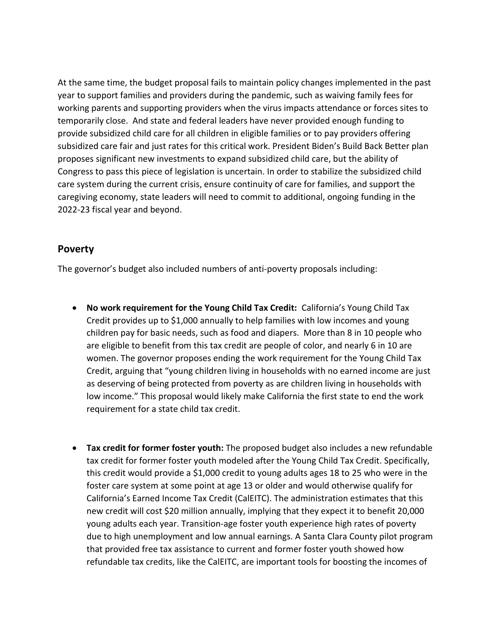At the same time, the budget proposal fails to maintain policy changes implemented in the past year to support families and providers during the pandemic, such as waiving family fees for working parents and supporting providers when the virus impacts attendance or forces sites to temporarily close. And state and federal leaders have never provided enough funding to provide subsidized child care for all children in eligible families or to pay providers offering subsidized care fair and just rates for this critical work. President Biden's Build Back Better plan proposes significant new investments to expand subsidized child care, but the ability of Congress to pass this piece of legislation is uncertain. In order to stabilize the subsidized child care system during the current crisis, ensure continuity of care for families, and support the caregiving economy, state leaders will need to commit to additional, ongoing funding in the 2022-23 fiscal year and beyond.

### **Poverty**

The governor's budget also included numbers of anti-poverty proposals including:

- **No work requirement for the Young Child Tax Credit:** California's Young Child Tax Credit provides up to \$1,000 annually to help families with low incomes and young children pay for basic needs, such as food and diapers. More than 8 in 10 people who are eligible to benefit from this tax credit are people of color, and nearly 6 in 10 are women. The governor proposes ending the work requirement for the Young Child Tax Credit, arguing that "young children living in households with no earned income are just as deserving of being protected from poverty as are children living in households with low income." This proposal would likely make California the first state to end the work requirement for a state child tax credit.
- **Tax credit for former foster youth:** The proposed budget also includes a new refundable tax credit for former foster youth modeled after the Young Child Tax Credit. Specifically, this credit would provide a \$1,000 credit to young adults ages 18 to 25 who were in the foster care system at some point at age 13 or older and would otherwise qualify for California's Earned Income Tax Credit (CalEITC). The administration estimates that this new credit will cost \$20 million annually, implying that they expect it to benefit 20,000 young adults each year. Transition-age foster youth experience high rates of poverty due to high unemployment and low annual earnings. A Santa Clara County pilot program that provided free tax assistance to current and former foster youth showed how refundable tax credits, like the CalEITC, are important tools for boosting the incomes of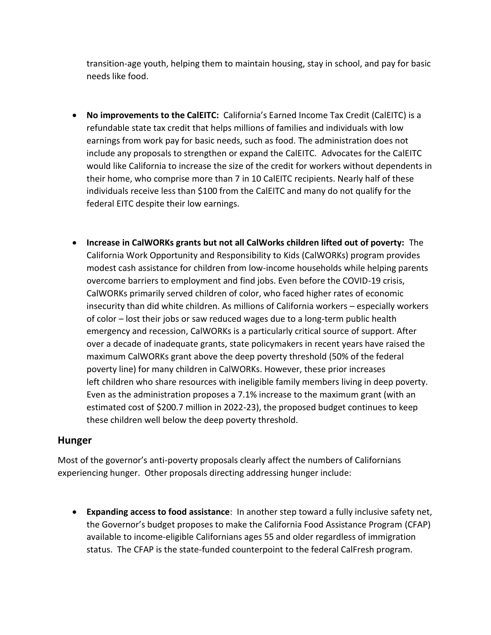transition-age youth, helping them to maintain housing, stay in school, and pay for basic needs like food.

- **No improvements to the CalEITC:** California's Earned Income Tax Credit (CalEITC) is a refundable state tax credit that helps millions of families and individuals with low earnings from work pay for basic needs, such as food. The administration does not include any proposals to strengthen or expand the CalEITC. Advocates for the CalEITC would like California to increase the size of the credit for workers without dependents in their home, who comprise more than 7 in 10 CalEITC recipients. Nearly half of these individuals receive less than \$100 from the CalEITC and many do not qualify for the federal EITC despite their low earnings.
- **Increase in CalWORKs grants but not all CalWorks children lifted out of poverty:** The California Work Opportunity and Responsibility to Kids (CalWORKs) program provides modest cash assistance for children from low-income households while helping parents overcome barriers to employment and find jobs. Even before the COVID-19 crisis, CalWORKs primarily served children of color, who faced higher rates of economic insecurity than did white children. As millions of California workers – especially workers of color – lost their jobs or saw reduced wages due to a long-term public health emergency and recession, CalWORKs is a particularly critical source of support. After over a decade of inadequate grants, state policymakers in recent years have raised the maximum CalWORKs grant above the deep poverty threshold (50% of the federal poverty line) for many children in CalWORKs. However, these prior increases left children who share resources with ineligible family members living in deep poverty. Even as the administration proposes a 7.1% increase to the maximum grant (with an estimated cost of \$200.7 million in 2022-23), the proposed budget continues to keep these children well below the deep poverty threshold.

## **Hunger**

Most of the governor's anti-poverty proposals clearly affect the numbers of Californians experiencing hunger. Other proposals directing addressing hunger include:

• **Expanding access to food assistance**: In another step toward a fully inclusive safety net, the Governor's budget proposes to make the California Food Assistance Program (CFAP) available to income-eligible Californians ages 55 and older regardless of immigration status. The CFAP is the state-funded counterpoint to the federal CalFresh program.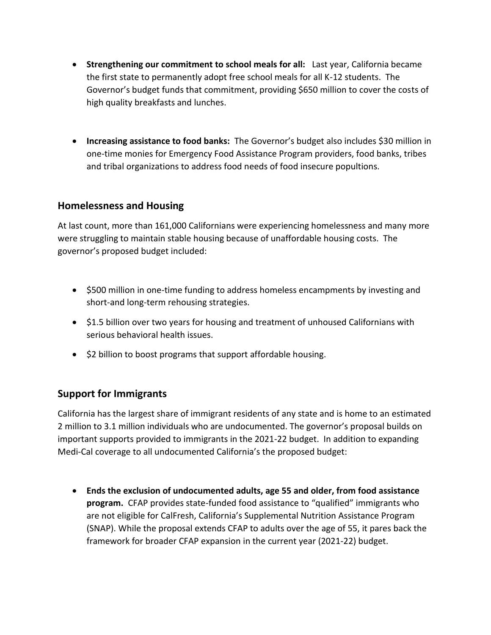- **Strengthening our commitment to school meals for all:** Last year, California became the first state to permanently adopt free school meals for all K-12 students. The Governor's budget funds that commitment, providing \$650 million to cover the costs of high quality breakfasts and lunches.
- **Increasing assistance to food banks:** The Governor's budget also includes \$30 million in one-time monies for Emergency Food Assistance Program providers, food banks, tribes and tribal organizations to address food needs of food insecure popultions.

## **Homelessness and Housing**

At last count, more than 161,000 Californians were experiencing homelessness and many more were struggling to maintain stable housing because of unaffordable housing costs. The governor's proposed budget included:

- \$500 million in one-time funding to address homeless encampments by investing and short-and long-term rehousing strategies.
- \$1.5 billion over two years for housing and treatment of unhoused Californians with serious behavioral health issues.
- \$2 billion to boost programs that support affordable housing.

## **Support for Immigrants**

California has the largest share of immigrant residents of any state and is home to an estimated 2 million to 3.1 million individuals who are undocumented. The governor's proposal builds on important supports provided to immigrants in the 2021-22 budget. In addition to expanding Medi-Cal coverage to all undocumented California's the proposed budget:

• **Ends the exclusion of undocumented adults, age 55 and older, from food assistance program.** CFAP provides state-funded food assistance to "qualified" immigrants who are not eligible for CalFresh, California's Supplemental Nutrition Assistance Program (SNAP). While the proposal extends CFAP to adults over the age of 55, it pares back the framework for broader CFAP expansion in the current year (2021-22) budget.